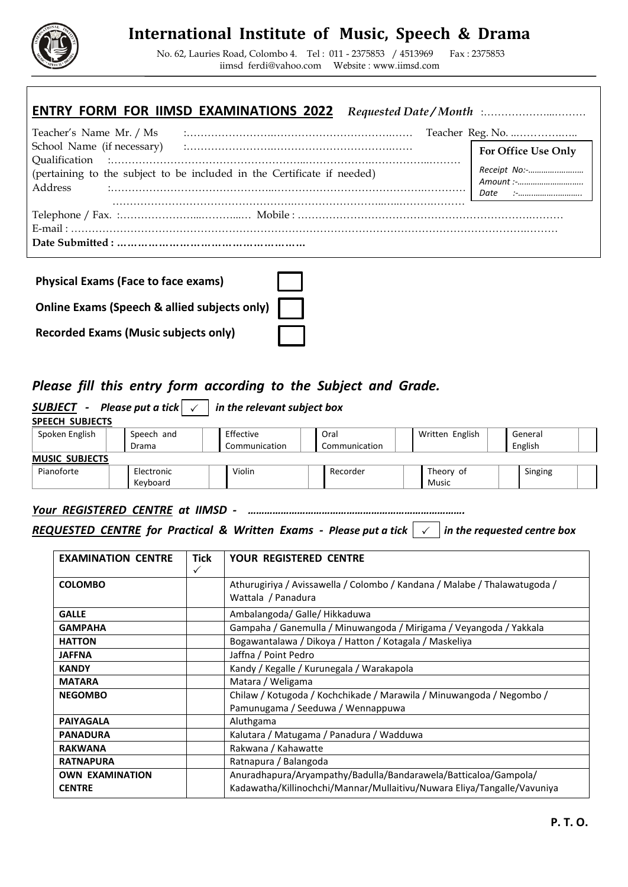

# **International Institute of Music, Speech & Drama**

No. 62, Lauries Road, Colombo 4. Tel : 011 - 2375853 / 4513969 Fax : 2375853 [iimsd\\_ferdi@yahoo.com](mailto:iimsd_ferdi@yahoo.com) Website : www.iimsd.com

### **ENTRY FORM FOR IIMSD EXAMINATIONS 2022** *Requested Date / Month* :………………...………

|                                                                         | For Office Use Only       |  |  |  |  |  |
|-------------------------------------------------------------------------|---------------------------|--|--|--|--|--|
|                                                                         |                           |  |  |  |  |  |
| (pertaining to the subject to be included in the Certificate if needed) | Receipt No:-<br>Amount :- |  |  |  |  |  |
|                                                                         |                           |  |  |  |  |  |
|                                                                         |                           |  |  |  |  |  |
|                                                                         |                           |  |  |  |  |  |
|                                                                         |                           |  |  |  |  |  |
|                                                                         |                           |  |  |  |  |  |

| <b>Physical Exams (Face to face exams)</b>   |  |
|----------------------------------------------|--|
| Online Exams (Speech & allied subjects only) |  |
| <b>Recorded Exams (Music subjects only)</b>  |  |

### *Please fill this entry form according to the Subject and Grade.*

| <b>SUBJECT</b> - Please put a tick $\vert \checkmark$<br>in the relevant subject box |                                                    |  |               |  |               |  |              |  |         |  |  |  |
|--------------------------------------------------------------------------------------|----------------------------------------------------|--|---------------|--|---------------|--|--------------|--|---------|--|--|--|
| <b>SPEECH SUBJECTS</b>                                                               |                                                    |  |               |  |               |  |              |  |         |  |  |  |
| Spoken English                                                                       | Effective<br>Written English<br>Speech and<br>Oral |  |               |  | General       |  |              |  |         |  |  |  |
|                                                                                      | Drama                                              |  | Communication |  | Communication |  |              |  | English |  |  |  |
| <b>MUSIC SUBJECTS</b>                                                                |                                                    |  |               |  |               |  |              |  |         |  |  |  |
| Pianoforte                                                                           | Electronic                                         |  | Violin        |  | Recorder      |  | Theory of    |  | Singing |  |  |  |
|                                                                                      | Keyboard                                           |  |               |  |               |  | <b>Music</b> |  |         |  |  |  |

#### *Your REGISTERED CENTRE at IIMSD - …………………………………………………………………….*

### *REQUESTED CENTRE for Practical & Written Exams - Please put a tick in the requested centre box*

| <b>EXAMINATION CENTRE</b> | <b>Tick</b><br>✓ | <b>YOUR REGISTERED CENTRE</b>                                                                             |
|---------------------------|------------------|-----------------------------------------------------------------------------------------------------------|
| <b>COLOMBO</b>            |                  | Athurugiriya / Avissawella / Colombo / Kandana / Malabe / Thalawatugoda /<br>Wattala / Panadura           |
| <b>GALLE</b>              |                  | Ambalangoda/ Galle/ Hikkaduwa                                                                             |
| <b>GAMPAHA</b>            |                  | Gampaha / Ganemulla / Minuwangoda / Mirigama / Veyangoda / Yakkala                                        |
| <b>HATTON</b>             |                  | Bogawantalawa / Dikoya / Hatton / Kotagala / Maskeliya                                                    |
| <b>JAFFNA</b>             |                  | Jaffna / Point Pedro                                                                                      |
| <b>KANDY</b>              |                  | Kandy / Kegalle / Kurunegala / Warakapola                                                                 |
| <b>MATARA</b>             |                  | Matara / Weligama                                                                                         |
| <b>NEGOMBO</b>            |                  | Chilaw / Kotugoda / Kochchikade / Marawila / Minuwangoda / Negombo /<br>Pamunugama / Seeduwa / Wennappuwa |
| <b>PAIYAGALA</b>          |                  | Aluthgama                                                                                                 |
| <b>PANADURA</b>           |                  | Kalutara / Matugama / Panadura / Wadduwa                                                                  |
| <b>RAKWANA</b>            |                  | Rakwana / Kahawatte                                                                                       |
| <b>RATNAPURA</b>          |                  | Ratnapura / Balangoda                                                                                     |
| <b>OWN EXAMINATION</b>    |                  | Anuradhapura/Aryampathy/Badulla/Bandarawela/Batticaloa/Gampola/                                           |
| <b>CENTRE</b>             |                  | Kadawatha/Killinochchi/Mannar/Mullaitivu/Nuwara Eliya/Tangalle/Vavuniya                                   |